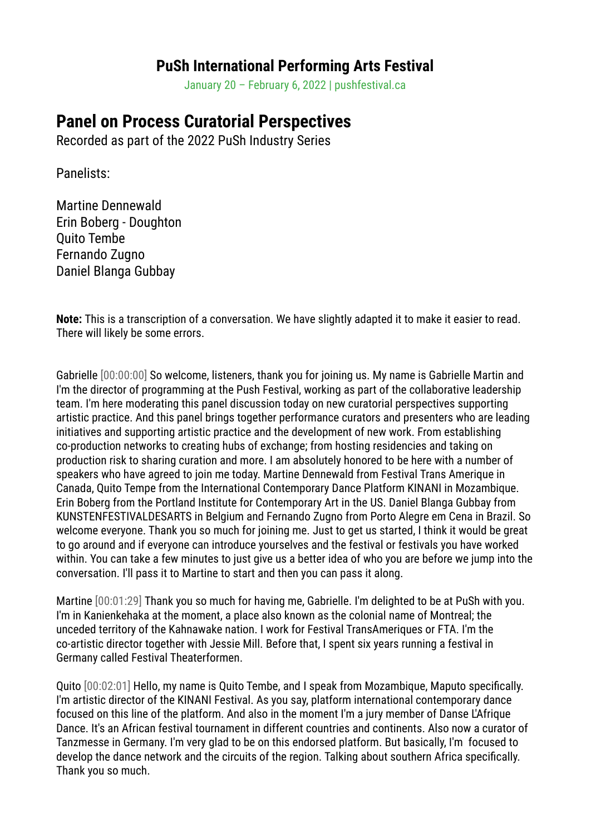## **PuSh International Performing Arts Festival**

January 20 – February 6, 2022 | pushfestival.ca

## **Panel on Process Curatorial Perspectives**

Recorded as part of the 2022 PuSh Industry Series

Panelists:

Martine Dennewald Erin Boberg - Doughton Quito Tembe Fernando Zugno Daniel Blanga Gubbay

**Note:** This is a transcription of a conversation. We have slightly adapted it to make it easier to read. There will likely be some errors.

Gabrielle [00:00:00] So welcome, listeners, thank you for joining us. My name is Gabrielle Martin and I'm the director of programming at the Push Festival, working as part of the collaborative leadership team. I'm here moderating this panel discussion today on new curatorial perspectives supporting artistic practice. And this panel brings together performance curators and presenters who are leading initiatives and supporting artistic practice and the development of new work. From establishing co-production networks to creating hubs of exchange; from hosting residencies and taking on production risk to sharing curation and more. I am absolutely honored to be here with a number of speakers who have agreed to join me today. Martine Dennewald from Festival Trans Amerique in Canada, Quito Tempe from the International Contemporary Dance Platform KINANI in Mozambique. Erin Boberg from the Portland Institute for Contemporary Art in the US. Daniel Blanga Gubbay from KUNSTENFESTIVALDESARTS in Belgium and Fernando Zugno from Porto Alegre em Cena in Brazil. So welcome everyone. Thank you so much for joining me. Just to get us started, I think it would be great to go around and if everyone can introduce yourselves and the festival or festivals you have worked within. You can take a few minutes to just give us a better idea of who you are before we jump into the conversation. I'll pass it to Martine to start and then you can pass it along.

Martine [00:01:29] Thank you so much for having me, Gabrielle. I'm delighted to be at PuSh with you. I'm in Kanienkehaka at the moment, a place also known as the colonial name of Montreal; the unceded territory of the Kahnawake nation. I work for Festival TransAmeriques or FTA. I'm the co-artistic director together with Jessie Mill. Before that, I spent six years running a festival in Germany called Festival Theaterformen.

Quito [00:02:01] Hello, my name is Quito Tembe, and I speak from Mozambique, Maputo specifically. I'm artistic director of the KINANI Festival. As you say, platform international contemporary dance focused on this line of the platform. And also in the moment I'm a jury member of Danse L'Afrique Dance. It's an African festival tournament in different countries and continents. Also now a curator of Tanzmesse in Germany. I'm very glad to be on this endorsed platform. But basically, I'm focused to develop the dance network and the circuits of the region. Talking about southern Africa specifically. Thank you so much.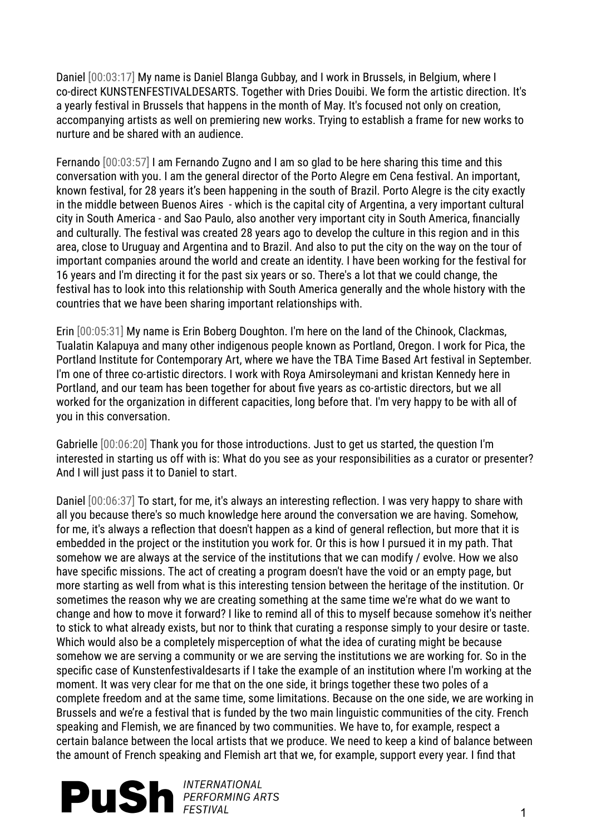Daniel [00:03:17] My name is Daniel Blanga Gubbay, and I work in Brussels, in Belgium, where I co-direct KUNSTENFESTIVALDESARTS. Together with Dries Douibi. We form the artistic direction. It's a yearly festival in Brussels that happens in the month of May. It's focused not only on creation, accompanying artists as well on premiering new works. Trying to establish a frame for new works to nurture and be shared with an audience.

Fernando [00:03:57] I am Fernando Zugno and I am so glad to be here sharing this time and this conversation with you. I am the general director of the Porto Alegre em Cena festival. An important, known festival, for 28 years it's been happening in the south of Brazil. Porto Alegre is the city exactly in the middle between Buenos Aires - which is the capital city of Argentina, a very important cultural city in South America - and Sao Paulo, also another very important city in South America, financially and culturally. The festival was created 28 years ago to develop the culture in this region and in this area, close to Uruguay and Argentina and to Brazil. And also to put the city on the way on the tour of important companies around the world and create an identity. I have been working for the festival for 16 years and I'm directing it for the past six years or so. There's a lot that we could change, the festival has to look into this relationship with South America generally and the whole history with the countries that we have been sharing important relationships with.

Erin [00:05:31] My name is Erin Boberg Doughton. I'm here on the land of the Chinook, Clackmas, Tualatin Kalapuya and many other indigenous people known as Portland, Oregon. I work for Pica, the Portland Institute for Contemporary Art, where we have the TBA Time Based Art festival in September. I'm one of three co-artistic directors. I work with Roya Amirsoleymani and kristan Kennedy here in Portland, and our team has been together for about five years as co-artistic directors, but we all worked for the organization in different capacities, long before that. I'm very happy to be with all of you in this conversation.

Gabrielle [00:06:20] Thank you for those introductions. Just to get us started, the question I'm interested in starting us off with is: What do you see as your responsibilities as a curator or presenter? And I will just pass it to Daniel to start.

Daniel [00:06:37] To start, for me, it's always an interesting reflection. I was very happy to share with all you because there's so much knowledge here around the conversation we are having. Somehow, for me, it's always a reflection that doesn't happen as a kind of general reflection, but more that it is embedded in the project or the institution you work for. Or this is how I pursued it in my path. That somehow we are always at the service of the institutions that we can modify / evolve. How we also have specific missions. The act of creating a program doesn't have the void or an empty page, but more starting as well from what is this interesting tension between the heritage of the institution. Or sometimes the reason why we are creating something at the same time we're what do we want to change and how to move it forward? I like to remind all of this to myself because somehow it's neither to stick to what already exists, but nor to think that curating a response simply to your desire or taste. Which would also be a completely misperception of what the idea of curating might be because somehow we are serving a community or we are serving the institutions we are working for. So in the specific case of Kunstenfestivaldesarts if I take the example of an institution where I'm working at the moment. It was very clear for me that on the one side, it brings together these two poles of a complete freedom and at the same time, some limitations. Because on the one side, we are working in Brussels and we're a festival that is funded by the two main linguistic communities of the city. French speaking and Flemish, we are financed by two communities. We have to, for example, respect a certain balance between the local artists that we produce. We need to keep a kind of balance between the amount of French speaking and Flemish art that we, for example, support every year. I find that

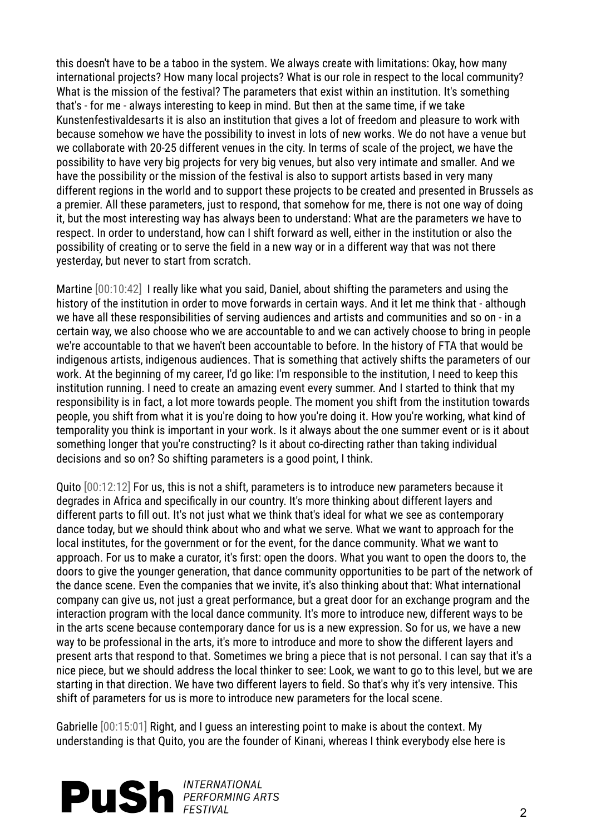this doesn't have to be a taboo in the system. We always create with limitations: Okay, how many international projects? How many local projects? What is our role in respect to the local community? What is the mission of the festival? The parameters that exist within an institution. It's something that's - for me - always interesting to keep in mind. But then at the same time, if we take Kunstenfestivaldesarts it is also an institution that gives a lot of freedom and pleasure to work with because somehow we have the possibility to invest in lots of new works. We do not have a venue but we collaborate with 20-25 different venues in the city. In terms of scale of the project, we have the possibility to have very big projects for very big venues, but also very intimate and smaller. And we have the possibility or the mission of the festival is also to support artists based in very many different regions in the world and to support these projects to be created and presented in Brussels as a premier. All these parameters, just to respond, that somehow for me, there is not one way of doing it, but the most interesting way has always been to understand: What are the parameters we have to respect. In order to understand, how can I shift forward as well, either in the institution or also the possibility of creating or to serve the field in a new way or in a different way that was not there yesterday, but never to start from scratch.

Martine [00:10:42] I really like what you said, Daniel, about shifting the parameters and using the history of the institution in order to move forwards in certain ways. And it let me think that - although we have all these responsibilities of serving audiences and artists and communities and so on - in a certain way, we also choose who we are accountable to and we can actively choose to bring in people we're accountable to that we haven't been accountable to before. In the history of FTA that would be indigenous artists, indigenous audiences. That is something that actively shifts the parameters of our work. At the beginning of my career, I'd go like: I'm responsible to the institution, I need to keep this institution running. I need to create an amazing event every summer. And I started to think that my responsibility is in fact, a lot more towards people. The moment you shift from the institution towards people, you shift from what it is you're doing to how you're doing it. How you're working, what kind of temporality you think is important in your work. Is it always about the one summer event or is it about something longer that you're constructing? Is it about co-directing rather than taking individual decisions and so on? So shifting parameters is a good point, I think.

Quito [00:12:12] For us, this is not a shift, parameters is to introduce new parameters because it degrades in Africa and specifically in our country. It's more thinking about different layers and different parts to fill out. It's not just what we think that's ideal for what we see as contemporary dance today, but we should think about who and what we serve. What we want to approach for the local institutes, for the government or for the event, for the dance community. What we want to approach. For us to make a curator, it's first: open the doors. What you want to open the doors to, the doors to give the younger generation, that dance community opportunities to be part of the network of the dance scene. Even the companies that we invite, it's also thinking about that: What international company can give us, not just a great performance, but a great door for an exchange program and the interaction program with the local dance community. It's more to introduce new, different ways to be in the arts scene because contemporary dance for us is a new expression. So for us, we have a new way to be professional in the arts, it's more to introduce and more to show the different layers and present arts that respond to that. Sometimes we bring a piece that is not personal. I can say that it's a nice piece, but we should address the local thinker to see: Look, we want to go to this level, but we are starting in that direction. We have two different layers to field. So that's why it's very intensive. This shift of parameters for us is more to introduce new parameters for the local scene.

Gabrielle [00:15:01] Right, and I guess an interesting point to make is about the context. My understanding is that Quito, you are the founder of Kinani, whereas I think everybody else here is

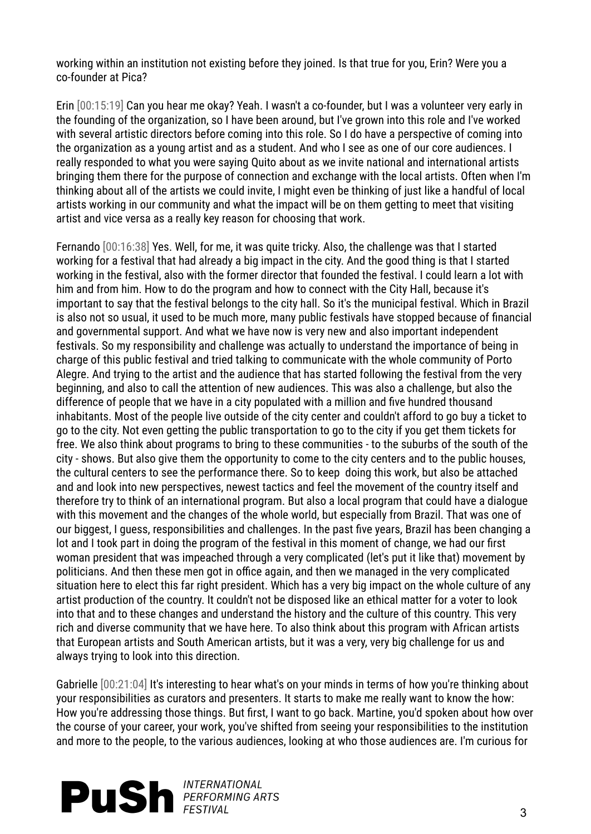working within an institution not existing before they joined. Is that true for you, Erin? Were you a co-founder at Pica?

Erin [00:15:19] Can you hear me okay? Yeah. I wasn't a co-founder, but I was a volunteer very early in the founding of the organization, so I have been around, but I've grown into this role and I've worked with several artistic directors before coming into this role. So I do have a perspective of coming into the organization as a young artist and as a student. And who I see as one of our core audiences. I really responded to what you were saying Quito about as we invite national and international artists bringing them there for the purpose of connection and exchange with the local artists. Often when I'm thinking about all of the artists we could invite, I might even be thinking of just like a handful of local artists working in our community and what the impact will be on them getting to meet that visiting artist and vice versa as a really key reason for choosing that work.

Fernando [00:16:38] Yes. Well, for me, it was quite tricky. Also, the challenge was that I started working for a festival that had already a big impact in the city. And the good thing is that I started working in the festival, also with the former director that founded the festival. I could learn a lot with him and from him. How to do the program and how to connect with the City Hall, because it's important to say that the festival belongs to the city hall. So it's the municipal festival. Which in Brazil is also not so usual, it used to be much more, many public festivals have stopped because of financial and governmental support. And what we have now is very new and also important independent festivals. So my responsibility and challenge was actually to understand the importance of being in charge of this public festival and tried talking to communicate with the whole community of Porto Alegre. And trying to the artist and the audience that has started following the festival from the very beginning, and also to call the attention of new audiences. This was also a challenge, but also the difference of people that we have in a city populated with a million and five hundred thousand inhabitants. Most of the people live outside of the city center and couldn't afford to go buy a ticket to go to the city. Not even getting the public transportation to go to the city if you get them tickets for free. We also think about programs to bring to these communities - to the suburbs of the south of the city - shows. But also give them the opportunity to come to the city centers and to the public houses, the cultural centers to see the performance there. So to keep doing this work, but also be attached and and look into new perspectives, newest tactics and feel the movement of the country itself and therefore try to think of an international program. But also a local program that could have a dialogue with this movement and the changes of the whole world, but especially from Brazil. That was one of our biggest, I guess, responsibilities and challenges. In the past five years, Brazil has been changing a lot and I took part in doing the program of the festival in this moment of change, we had our first woman president that was impeached through a very complicated (let's put it like that) movement by politicians. And then these men got in office again, and then we managed in the very complicated situation here to elect this far right president. Which has a very big impact on the whole culture of any artist production of the country. It couldn't not be disposed like an ethical matter for a voter to look into that and to these changes and understand the history and the culture of this country. This very rich and diverse community that we have here. To also think about this program with African artists that European artists and South American artists, but it was a very, very big challenge for us and always trying to look into this direction.

Gabrielle [00:21:04] It's interesting to hear what's on your minds in terms of how you're thinking about your responsibilities as curators and presenters. It starts to make me really want to know the how: How you're addressing those things. But first, I want to go back. Martine, you'd spoken about how over the course of your career, your work, you've shifted from seeing your responsibilities to the institution and more to the people, to the various audiences, looking at who those audiences are. I'm curious for

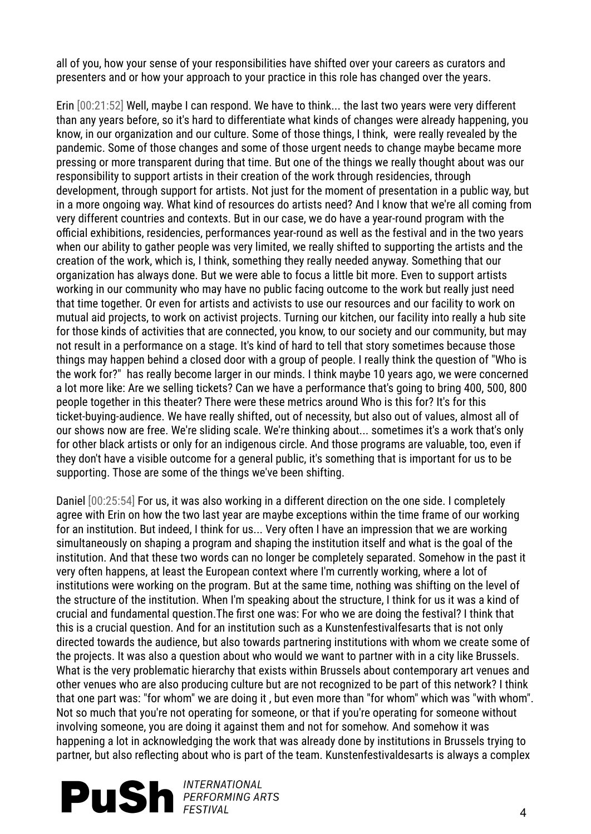all of you, how your sense of your responsibilities have shifted over your careers as curators and presenters and or how your approach to your practice in this role has changed over the years.

Erin [00:21:52] Well, maybe I can respond. We have to think... the last two years were very different than any years before, so it's hard to differentiate what kinds of changes were already happening, you know, in our organization and our culture. Some of those things, I think, were really revealed by the pandemic. Some of those changes and some of those urgent needs to change maybe became more pressing or more transparent during that time. But one of the things we really thought about was our responsibility to support artists in their creation of the work through residencies, through development, through support for artists. Not just for the moment of presentation in a public way, but in a more ongoing way. What kind of resources do artists need? And I know that we're all coming from very different countries and contexts. But in our case, we do have a year-round program with the official exhibitions, residencies, performances year-round as well as the festival and in the two years when our ability to gather people was very limited, we really shifted to supporting the artists and the creation of the work, which is, I think, something they really needed anyway. Something that our organization has always done. But we were able to focus a little bit more. Even to support artists working in our community who may have no public facing outcome to the work but really just need that time together. Or even for artists and activists to use our resources and our facility to work on mutual aid projects, to work on activist projects. Turning our kitchen, our facility into really a hub site for those kinds of activities that are connected, you know, to our society and our community, but may not result in a performance on a stage. It's kind of hard to tell that story sometimes because those things may happen behind a closed door with a group of people. I really think the question of "Who is the work for?" has really become larger in our minds. I think maybe 10 years ago, we were concerned a lot more like: Are we selling tickets? Can we have a performance that's going to bring 400, 500, 800 people together in this theater? There were these metrics around Who is this for? It's for this ticket-buying-audience. We have really shifted, out of necessity, but also out of values, almost all of our shows now are free. We're sliding scale. We're thinking about... sometimes it's a work that's only for other black artists or only for an indigenous circle. And those programs are valuable, too, even if they don't have a visible outcome for a general public, it's something that is important for us to be supporting. Those are some of the things we've been shifting.

Daniel [00:25:54] For us, it was also working in a different direction on the one side. I completely agree with Erin on how the two last year are maybe exceptions within the time frame of our working for an institution. But indeed, I think for us... Very often I have an impression that we are working simultaneously on shaping a program and shaping the institution itself and what is the goal of the institution. And that these two words can no longer be completely separated. Somehow in the past it very often happens, at least the European context where I'm currently working, where a lot of institutions were working on the program. But at the same time, nothing was shifting on the level of the structure of the institution. When I'm speaking about the structure, I think for us it was a kind of crucial and fundamental question.The first one was: For who we are doing the festival? I think that this is a crucial question. And for an institution such as a Kunstenfestivalfesarts that is not only directed towards the audience, but also towards partnering institutions with whom we create some of the projects. It was also a question about who would we want to partner with in a city like Brussels. What is the very problematic hierarchy that exists within Brussels about contemporary art venues and other venues who are also producing culture but are not recognized to be part of this network? I think that one part was: "for whom" we are doing it , but even more than "for whom" which was "with whom". Not so much that you're not operating for someone, or that if you're operating for someone without involving someone, you are doing it against them and not for somehow. And somehow it was happening a lot in acknowledging the work that was already done by institutions in Brussels trying to partner, but also reflecting about who is part of the team. Kunstenfestivaldesarts is always a complex

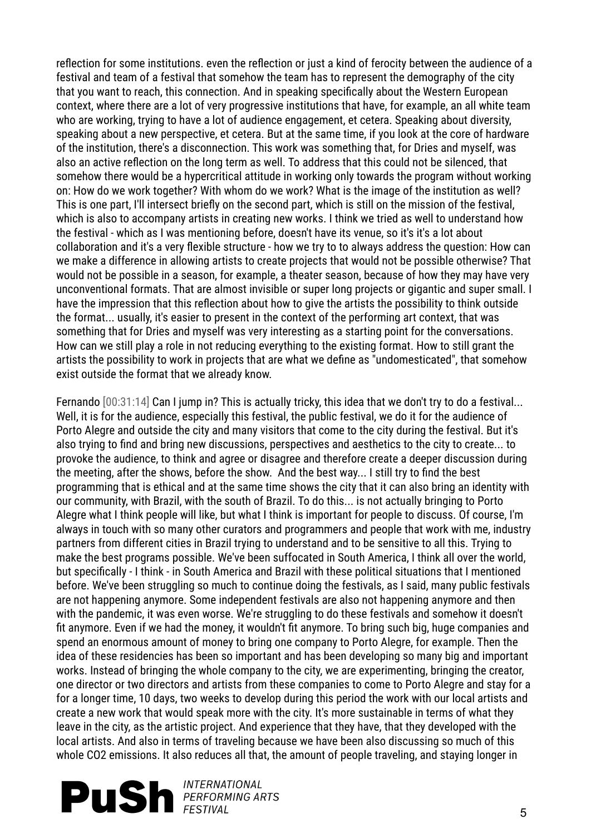reflection for some institutions. even the reflection or just a kind of ferocity between the audience of a festival and team of a festival that somehow the team has to represent the demography of the city that you want to reach, this connection. And in speaking specifically about the Western European context, where there are a lot of very progressive institutions that have, for example, an all white team who are working, trying to have a lot of audience engagement, et cetera. Speaking about diversity, speaking about a new perspective, et cetera. But at the same time, if you look at the core of hardware of the institution, there's a disconnection. This work was something that, for Dries and myself, was also an active reflection on the long term as well. To address that this could not be silenced, that somehow there would be a hypercritical attitude in working only towards the program without working on: How do we work together? With whom do we work? What is the image of the institution as well? This is one part, I'll intersect briefly on the second part, which is still on the mission of the festival, which is also to accompany artists in creating new works. I think we tried as well to understand how the festival - which as I was mentioning before, doesn't have its venue, so it's it's a lot about collaboration and it's a very flexible structure - how we try to to always address the question: How can we make a difference in allowing artists to create projects that would not be possible otherwise? That would not be possible in a season, for example, a theater season, because of how they may have very unconventional formats. That are almost invisible or super long projects or gigantic and super small. I have the impression that this reflection about how to give the artists the possibility to think outside the format... usually, it's easier to present in the context of the performing art context, that was something that for Dries and myself was very interesting as a starting point for the conversations. How can we still play a role in not reducing everything to the existing format. How to still grant the artists the possibility to work in projects that are what we define as "undomesticated", that somehow exist outside the format that we already know.

Fernando [00:31:14] Can I jump in? This is actually tricky, this idea that we don't try to do a festival... Well, it is for the audience, especially this festival, the public festival, we do it for the audience of Porto Alegre and outside the city and many visitors that come to the city during the festival. But it's also trying to find and bring new discussions, perspectives and aesthetics to the city to create... to provoke the audience, to think and agree or disagree and therefore create a deeper discussion during the meeting, after the shows, before the show. And the best way... I still try to find the best programming that is ethical and at the same time shows the city that it can also bring an identity with our community, with Brazil, with the south of Brazil. To do this... is not actually bringing to Porto Alegre what I think people will like, but what I think is important for people to discuss. Of course, I'm always in touch with so many other curators and programmers and people that work with me, industry partners from different cities in Brazil trying to understand and to be sensitive to all this. Trying to make the best programs possible. We've been suffocated in South America, I think all over the world, but specifically - I think - in South America and Brazil with these political situations that I mentioned before. We've been struggling so much to continue doing the festivals, as I said, many public festivals are not happening anymore. Some independent festivals are also not happening anymore and then with the pandemic, it was even worse. We're struggling to do these festivals and somehow it doesn't fit anymore. Even if we had the money, it wouldn't fit anymore. To bring such big, huge companies and spend an enormous amount of money to bring one company to Porto Alegre, for example. Then the idea of these residencies has been so important and has been developing so many big and important works. Instead of bringing the whole company to the city, we are experimenting, bringing the creator, one director or two directors and artists from these companies to come to Porto Alegre and stay for a for a longer time, 10 days, two weeks to develop during this period the work with our local artists and create a new work that would speak more with the city. It's more sustainable in terms of what they leave in the city, as the artistic project. And experience that they have, that they developed with the local artists. And also in terms of traveling because we have been also discussing so much of this whole CO2 emissions. It also reduces all that, the amount of people traveling, and staying longer in

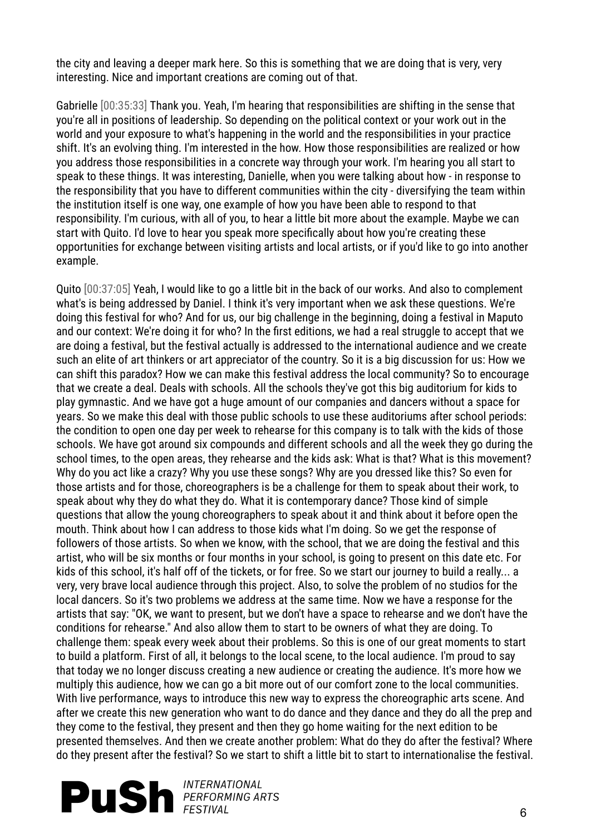the city and leaving a deeper mark here. So this is something that we are doing that is very, very interesting. Nice and important creations are coming out of that.

Gabrielle [00:35:33] Thank you. Yeah, I'm hearing that responsibilities are shifting in the sense that you're all in positions of leadership. So depending on the political context or your work out in the world and your exposure to what's happening in the world and the responsibilities in your practice shift. It's an evolving thing. I'm interested in the how. How those responsibilities are realized or how you address those responsibilities in a concrete way through your work. I'm hearing you all start to speak to these things. It was interesting, Danielle, when you were talking about how - in response to the responsibility that you have to different communities within the city - diversifying the team within the institution itself is one way, one example of how you have been able to respond to that responsibility. I'm curious, with all of you, to hear a little bit more about the example. Maybe we can start with Quito. I'd love to hear you speak more specifically about how you're creating these opportunities for exchange between visiting artists and local artists, or if you'd like to go into another example.

Quito [00:37:05] Yeah, I would like to go a little bit in the back of our works. And also to complement what's is being addressed by Daniel. I think it's very important when we ask these questions. We're doing this festival for who? And for us, our big challenge in the beginning, doing a festival in Maputo and our context: We're doing it for who? In the first editions, we had a real struggle to accept that we are doing a festival, but the festival actually is addressed to the international audience and we create such an elite of art thinkers or art appreciator of the country. So it is a big discussion for us: How we can shift this paradox? How we can make this festival address the local community? So to encourage that we create a deal. Deals with schools. All the schools they've got this big auditorium for kids to play gymnastic. And we have got a huge amount of our companies and dancers without a space for years. So we make this deal with those public schools to use these auditoriums after school periods: the condition to open one day per week to rehearse for this company is to talk with the kids of those schools. We have got around six compounds and different schools and all the week they go during the school times, to the open areas, they rehearse and the kids ask: What is that? What is this movement? Why do you act like a crazy? Why you use these songs? Why are you dressed like this? So even for those artists and for those, choreographers is be a challenge for them to speak about their work, to speak about why they do what they do. What it is contemporary dance? Those kind of simple questions that allow the young choreographers to speak about it and think about it before open the mouth. Think about how I can address to those kids what I'm doing. So we get the response of followers of those artists. So when we know, with the school, that we are doing the festival and this artist, who will be six months or four months in your school, is going to present on this date etc. For kids of this school, it's half off of the tickets, or for free. So we start our journey to build a really... a very, very brave local audience through this project. Also, to solve the problem of no studios for the local dancers. So it's two problems we address at the same time. Now we have a response for the artists that say: "OK, we want to present, but we don't have a space to rehearse and we don't have the conditions for rehearse." And also allow them to start to be owners of what they are doing. To challenge them: speak every week about their problems. So this is one of our great moments to start to build a platform. First of all, it belongs to the local scene, to the local audience. I'm proud to say that today we no longer discuss creating a new audience or creating the audience. It's more how we multiply this audience, how we can go a bit more out of our comfort zone to the local communities. With live performance, ways to introduce this new way to express the choreographic arts scene. And after we create this new generation who want to do dance and they dance and they do all the prep and they come to the festival, they present and then they go home waiting for the next edition to be presented themselves. And then we create another problem: What do they do after the festival? Where do they present after the festival? So we start to shift a little bit to start to internationalise the festival.

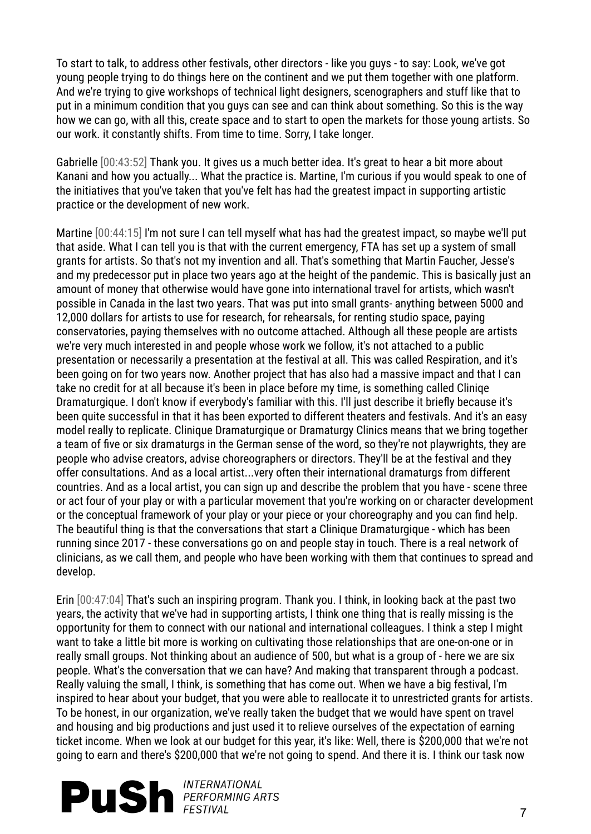To start to talk, to address other festivals, other directors - like you guys - to say: Look, we've got young people trying to do things here on the continent and we put them together with one platform. And we're trying to give workshops of technical light designers, scenographers and stuff like that to put in a minimum condition that you guys can see and can think about something. So this is the way how we can go, with all this, create space and to start to open the markets for those young artists. So our work. it constantly shifts. From time to time. Sorry, I take longer.

Gabrielle [00:43:52] Thank you. It gives us a much better idea. It's great to hear a bit more about Kanani and how you actually... What the practice is. Martine, I'm curious if you would speak to one of the initiatives that you've taken that you've felt has had the greatest impact in supporting artistic practice or the development of new work.

Martine [00:44:15] I'm not sure I can tell myself what has had the greatest impact, so maybe we'll put that aside. What I can tell you is that with the current emergency, FTA has set up a system of small grants for artists. So that's not my invention and all. That's something that Martin Faucher, Jesse's and my predecessor put in place two years ago at the height of the pandemic. This is basically just an amount of money that otherwise would have gone into international travel for artists, which wasn't possible in Canada in the last two years. That was put into small grants- anything between 5000 and 12,000 dollars for artists to use for research, for rehearsals, for renting studio space, paying conservatories, paying themselves with no outcome attached. Although all these people are artists we're very much interested in and people whose work we follow, it's not attached to a public presentation or necessarily a presentation at the festival at all. This was called Respiration, and it's been going on for two years now. Another project that has also had a massive impact and that I can take no credit for at all because it's been in place before my time, is something called Cliniqe Dramaturgique. I don't know if everybody's familiar with this. I'll just describe it briefly because it's been quite successful in that it has been exported to different theaters and festivals. And it's an easy model really to replicate. Clinique Dramaturgique or Dramaturgy Clinics means that we bring together a team of five or six dramaturgs in the German sense of the word, so they're not playwrights, they are people who advise creators, advise choreographers or directors. They'll be at the festival and they offer consultations. And as a local artist...very often their international dramaturgs from different countries. And as a local artist, you can sign up and describe the problem that you have - scene three or act four of your play or with a particular movement that you're working on or character development or the conceptual framework of your play or your piece or your choreography and you can find help. The beautiful thing is that the conversations that start a Clinique Dramaturgique - which has been running since 2017 - these conversations go on and people stay in touch. There is a real network of clinicians, as we call them, and people who have been working with them that continues to spread and develop.

Erin [00:47:04] That's such an inspiring program. Thank you. I think, in looking back at the past two years, the activity that we've had in supporting artists, I think one thing that is really missing is the opportunity for them to connect with our national and international colleagues. I think a step I might want to take a little bit more is working on cultivating those relationships that are one-on-one or in really small groups. Not thinking about an audience of 500, but what is a group of - here we are six people. What's the conversation that we can have? And making that transparent through a podcast. Really valuing the small, I think, is something that has come out. When we have a big festival, I'm inspired to hear about your budget, that you were able to reallocate it to unrestricted grants for artists. To be honest, in our organization, we've really taken the budget that we would have spent on travel and housing and big productions and just used it to relieve ourselves of the expectation of earning ticket income. When we look at our budget for this year, it's like: Well, there is \$200,000 that we're not going to earn and there's \$200,000 that we're not going to spend. And there it is. I think our task now

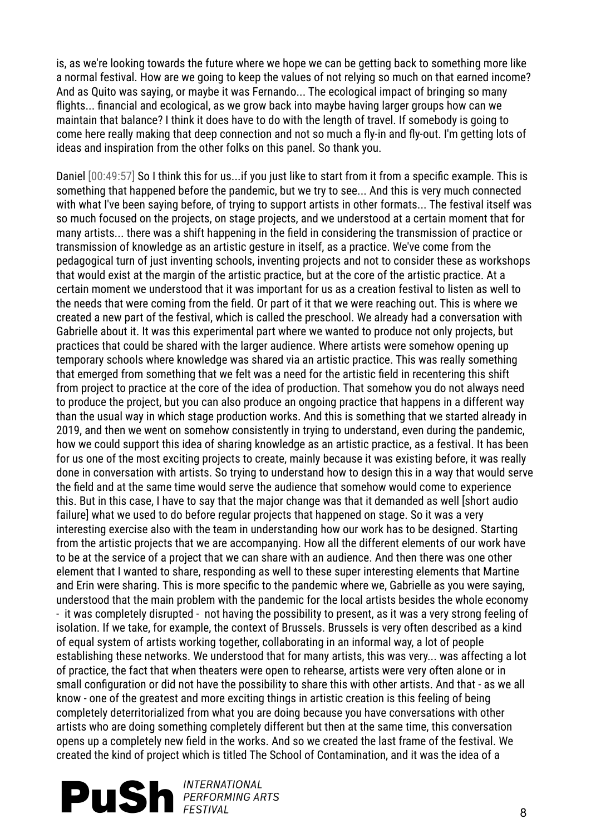is, as we're looking towards the future where we hope we can be getting back to something more like a normal festival. How are we going to keep the values of not relying so much on that earned income? And as Quito was saying, or maybe it was Fernando... The ecological impact of bringing so many flights... financial and ecological, as we grow back into maybe having larger groups how can we maintain that balance? I think it does have to do with the length of travel. If somebody is going to come here really making that deep connection and not so much a fly-in and fly-out. I'm getting lots of ideas and inspiration from the other folks on this panel. So thank you.

Daniel [00:49:57] So I think this for us...if you just like to start from it from a specific example. This is something that happened before the pandemic, but we try to see... And this is very much connected with what I've been saying before, of trying to support artists in other formats... The festival itself was so much focused on the projects, on stage projects, and we understood at a certain moment that for many artists... there was a shift happening in the field in considering the transmission of practice or transmission of knowledge as an artistic gesture in itself, as a practice. We've come from the pedagogical turn of just inventing schools, inventing projects and not to consider these as workshops that would exist at the margin of the artistic practice, but at the core of the artistic practice. At a certain moment we understood that it was important for us as a creation festival to listen as well to the needs that were coming from the field. Or part of it that we were reaching out. This is where we created a new part of the festival, which is called the preschool. We already had a conversation with Gabrielle about it. It was this experimental part where we wanted to produce not only projects, but practices that could be shared with the larger audience. Where artists were somehow opening up temporary schools where knowledge was shared via an artistic practice. This was really something that emerged from something that we felt was a need for the artistic field in recentering this shift from project to practice at the core of the idea of production. That somehow you do not always need to produce the project, but you can also produce an ongoing practice that happens in a different way than the usual way in which stage production works. And this is something that we started already in 2019, and then we went on somehow consistently in trying to understand, even during the pandemic, how we could support this idea of sharing knowledge as an artistic practice, as a festival. It has been for us one of the most exciting projects to create, mainly because it was existing before, it was really done in conversation with artists. So trying to understand how to design this in a way that would serve the field and at the same time would serve the audience that somehow would come to experience this. But in this case, I have to say that the major change was that it demanded as well [short audio failure] what we used to do before regular projects that happened on stage. So it was a very interesting exercise also with the team in understanding how our work has to be designed. Starting from the artistic projects that we are accompanying. How all the different elements of our work have to be at the service of a project that we can share with an audience. And then there was one other element that I wanted to share, responding as well to these super interesting elements that Martine and Erin were sharing. This is more specific to the pandemic where we, Gabrielle as you were saying, understood that the main problem with the pandemic for the local artists besides the whole economy - it was completely disrupted - not having the possibility to present, as it was a very strong feeling of isolation. If we take, for example, the context of Brussels. Brussels is very often described as a kind of equal system of artists working together, collaborating in an informal way, a lot of people establishing these networks. We understood that for many artists, this was very... was affecting a lot of practice, the fact that when theaters were open to rehearse, artists were very often alone or in small configuration or did not have the possibility to share this with other artists. And that - as we all know - one of the greatest and more exciting things in artistic creation is this feeling of being completely deterritorialized from what you are doing because you have conversations with other artists who are doing something completely different but then at the same time, this conversation opens up a completely new field in the works. And so we created the last frame of the festival. We created the kind of project which is titled The School of Contamination, and it was the idea of a

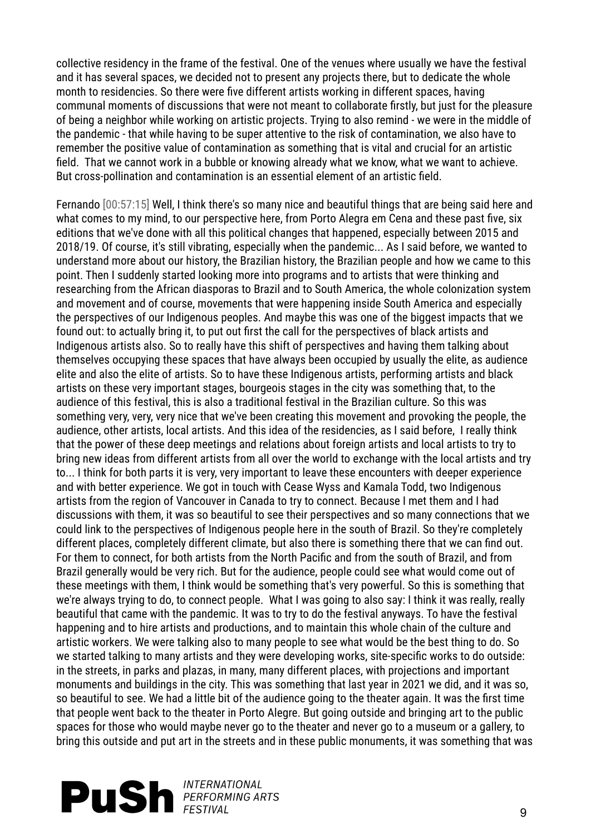collective residency in the frame of the festival. One of the venues where usually we have the festival and it has several spaces, we decided not to present any projects there, but to dedicate the whole month to residencies. So there were five different artists working in different spaces, having communal moments of discussions that were not meant to collaborate firstly, but just for the pleasure of being a neighbor while working on artistic projects. Trying to also remind - we were in the middle of the pandemic - that while having to be super attentive to the risk of contamination, we also have to remember the positive value of contamination as something that is vital and crucial for an artistic field. That we cannot work in a bubble or knowing already what we know, what we want to achieve. But cross-pollination and contamination is an essential element of an artistic field.

Fernando [00:57:15] Well, I think there's so many nice and beautiful things that are being said here and what comes to my mind, to our perspective here, from Porto Alegra em Cena and these past five, six editions that we've done with all this political changes that happened, especially between 2015 and 2018/19. Of course, it's still vibrating, especially when the pandemic... As I said before, we wanted to understand more about our history, the Brazilian history, the Brazilian people and how we came to this point. Then I suddenly started looking more into programs and to artists that were thinking and researching from the African diasporas to Brazil and to South America, the whole colonization system and movement and of course, movements that were happening inside South America and especially the perspectives of our Indigenous peoples. And maybe this was one of the biggest impacts that we found out: to actually bring it, to put out first the call for the perspectives of black artists and Indigenous artists also. So to really have this shift of perspectives and having them talking about themselves occupying these spaces that have always been occupied by usually the elite, as audience elite and also the elite of artists. So to have these Indigenous artists, performing artists and black artists on these very important stages, bourgeois stages in the city was something that, to the audience of this festival, this is also a traditional festival in the Brazilian culture. So this was something very, very, very nice that we've been creating this movement and provoking the people, the audience, other artists, local artists. And this idea of the residencies, as I said before, I really think that the power of these deep meetings and relations about foreign artists and local artists to try to bring new ideas from different artists from all over the world to exchange with the local artists and try to... I think for both parts it is very, very important to leave these encounters with deeper experience and with better experience. We got in touch with Cease Wyss and Kamala Todd, two Indigenous artists from the region of Vancouver in Canada to try to connect. Because I met them and I had discussions with them, it was so beautiful to see their perspectives and so many connections that we could link to the perspectives of Indigenous people here in the south of Brazil. So they're completely different places, completely different climate, but also there is something there that we can find out. For them to connect, for both artists from the North Pacific and from the south of Brazil, and from Brazil generally would be very rich. But for the audience, people could see what would come out of these meetings with them, I think would be something that's very powerful. So this is something that we're always trying to do, to connect people. What I was going to also say: I think it was really, really beautiful that came with the pandemic. It was to try to do the festival anyways. To have the festival happening and to hire artists and productions, and to maintain this whole chain of the culture and artistic workers. We were talking also to many people to see what would be the best thing to do. So we started talking to many artists and they were developing works, site-specific works to do outside: in the streets, in parks and plazas, in many, many different places, with projections and important monuments and buildings in the city. This was something that last year in 2021 we did, and it was so, so beautiful to see. We had a little bit of the audience going to the theater again. It was the first time that people went back to the theater in Porto Alegre. But going outside and bringing art to the public spaces for those who would maybe never go to the theater and never go to a museum or a gallery, to bring this outside and put art in the streets and in these public monuments, it was something that was

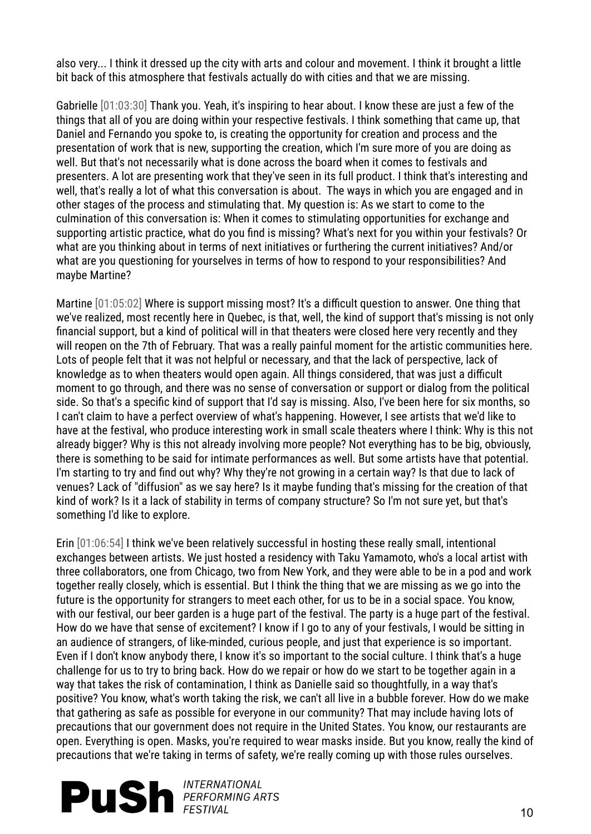also very... I think it dressed up the city with arts and colour and movement. I think it brought a little bit back of this atmosphere that festivals actually do with cities and that we are missing.

Gabrielle [01:03:30] Thank you. Yeah, it's inspiring to hear about. I know these are just a few of the things that all of you are doing within your respective festivals. I think something that came up, that Daniel and Fernando you spoke to, is creating the opportunity for creation and process and the presentation of work that is new, supporting the creation, which I'm sure more of you are doing as well. But that's not necessarily what is done across the board when it comes to festivals and presenters. A lot are presenting work that they've seen in its full product. I think that's interesting and well, that's really a lot of what this conversation is about. The ways in which you are engaged and in other stages of the process and stimulating that. My question is: As we start to come to the culmination of this conversation is: When it comes to stimulating opportunities for exchange and supporting artistic practice, what do you find is missing? What's next for you within your festivals? Or what are you thinking about in terms of next initiatives or furthering the current initiatives? And/or what are you questioning for yourselves in terms of how to respond to your responsibilities? And maybe Martine?

Martine [01:05:02] Where is support missing most? It's a difficult question to answer. One thing that we've realized, most recently here in Quebec, is that, well, the kind of support that's missing is not only financial support, but a kind of political will in that theaters were closed here very recently and they will reopen on the 7th of February. That was a really painful moment for the artistic communities here. Lots of people felt that it was not helpful or necessary, and that the lack of perspective, lack of knowledge as to when theaters would open again. All things considered, that was just a difficult moment to go through, and there was no sense of conversation or support or dialog from the political side. So that's a specific kind of support that I'd say is missing. Also, I've been here for six months, so I can't claim to have a perfect overview of what's happening. However, I see artists that we'd like to have at the festival, who produce interesting work in small scale theaters where I think: Why is this not already bigger? Why is this not already involving more people? Not everything has to be big, obviously, there is something to be said for intimate performances as well. But some artists have that potential. I'm starting to try and find out why? Why they're not growing in a certain way? Is that due to lack of venues? Lack of "diffusion" as we say here? Is it maybe funding that's missing for the creation of that kind of work? Is it a lack of stability in terms of company structure? So I'm not sure yet, but that's something I'd like to explore.

Erin [01:06:54] I think we've been relatively successful in hosting these really small, intentional exchanges between artists. We just hosted a residency with Taku Yamamoto, who's a local artist with three collaborators, one from Chicago, two from New York, and they were able to be in a pod and work together really closely, which is essential. But I think the thing that we are missing as we go into the future is the opportunity for strangers to meet each other, for us to be in a social space. You know, with our festival, our beer garden is a huge part of the festival. The party is a huge part of the festival. How do we have that sense of excitement? I know if I go to any of your festivals, I would be sitting in an audience of strangers, of like-minded, curious people, and just that experience is so important. Even if I don't know anybody there, I know it's so important to the social culture. I think that's a huge challenge for us to try to bring back. How do we repair or how do we start to be together again in a way that takes the risk of contamination, I think as Danielle said so thoughtfully, in a way that's positive? You know, what's worth taking the risk, we can't all live in a bubble forever. How do we make that gathering as safe as possible for everyone in our community? That may include having lots of precautions that our government does not require in the United States. You know, our restaurants are open. Everything is open. Masks, you're required to wear masks inside. But you know, really the kind of precautions that we're taking in terms of safety, we're really coming up with those rules ourselves.

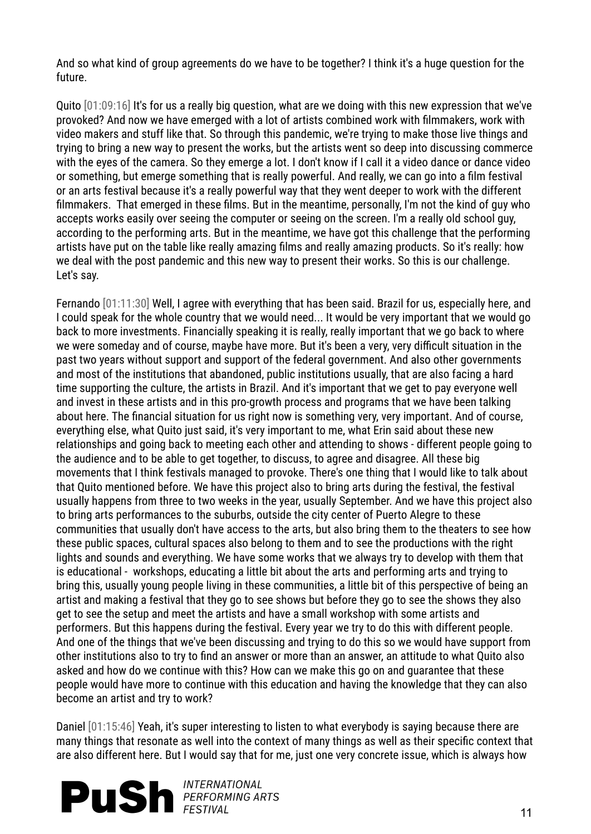And so what kind of group agreements do we have to be together? I think it's a huge question for the future.

Quito [01:09:16] It's for us a really big question, what are we doing with this new expression that we've provoked? And now we have emerged with a lot of artists combined work with filmmakers, work with video makers and stuff like that. So through this pandemic, we're trying to make those live things and trying to bring a new way to present the works, but the artists went so deep into discussing commerce with the eyes of the camera. So they emerge a lot. I don't know if I call it a video dance or dance video or something, but emerge something that is really powerful. And really, we can go into a film festival or an arts festival because it's a really powerful way that they went deeper to work with the different filmmakers. That emerged in these films. But in the meantime, personally, I'm not the kind of guy who accepts works easily over seeing the computer or seeing on the screen. I'm a really old school guy, according to the performing arts. But in the meantime, we have got this challenge that the performing artists have put on the table like really amazing films and really amazing products. So it's really: how we deal with the post pandemic and this new way to present their works. So this is our challenge. Let's say.

Fernando [01:11:30] Well, I agree with everything that has been said. Brazil for us, especially here, and I could speak for the whole country that we would need... It would be very important that we would go back to more investments. Financially speaking it is really, really important that we go back to where we were someday and of course, maybe have more. But it's been a very, very difficult situation in the past two years without support and support of the federal government. And also other governments and most of the institutions that abandoned, public institutions usually, that are also facing a hard time supporting the culture, the artists in Brazil. And it's important that we get to pay everyone well and invest in these artists and in this pro-growth process and programs that we have been talking about here. The financial situation for us right now is something very, very important. And of course, everything else, what Quito just said, it's very important to me, what Erin said about these new relationships and going back to meeting each other and attending to shows - different people going to the audience and to be able to get together, to discuss, to agree and disagree. All these big movements that I think festivals managed to provoke. There's one thing that I would like to talk about that Quito mentioned before. We have this project also to bring arts during the festival, the festival usually happens from three to two weeks in the year, usually September. And we have this project also to bring arts performances to the suburbs, outside the city center of Puerto Alegre to these communities that usually don't have access to the arts, but also bring them to the theaters to see how these public spaces, cultural spaces also belong to them and to see the productions with the right lights and sounds and everything. We have some works that we always try to develop with them that is educational - workshops, educating a little bit about the arts and performing arts and trying to bring this, usually young people living in these communities, a little bit of this perspective of being an artist and making a festival that they go to see shows but before they go to see the shows they also get to see the setup and meet the artists and have a small workshop with some artists and performers. But this happens during the festival. Every year we try to do this with different people. And one of the things that we've been discussing and trying to do this so we would have support from other institutions also to try to find an answer or more than an answer, an attitude to what Quito also asked and how do we continue with this? How can we make this go on and guarantee that these people would have more to continue with this education and having the knowledge that they can also become an artist and try to work?

Daniel [01:15:46] Yeah, it's super interesting to listen to what everybody is saying because there are many things that resonate as well into the context of many things as well as their specific context that are also different here. But I would say that for me, just one very concrete issue, which is always how